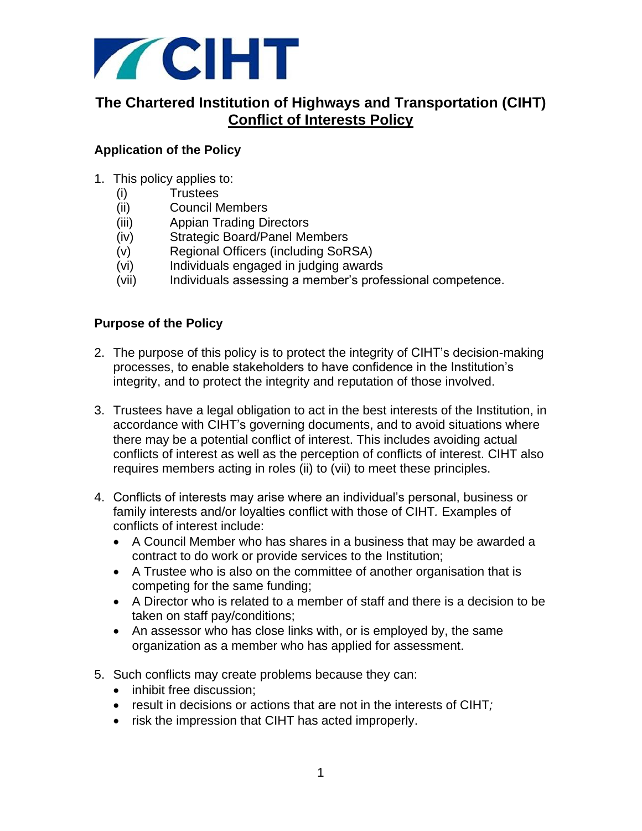

# **The Chartered Institution of Highways and Transportation (CIHT) Conflict of Interests Policy**

# **Application of the Policy**

- 1. This policy applies to:
	- (i) Trustees
	- (ii) Council Members
	- (iii) Appian Trading Directors
	- (iv) Strategic Board/Panel Members
	- (v) Regional Officers (including SoRSA)
	- (vi) Individuals engaged in judging awards
	- (vii) Individuals assessing a member's professional competence.

#### **Purpose of the Policy**

- 2. The purpose of this policy is to protect the integrity of CIHT's decision-making processes, to enable stakeholders to have confidence in the Institution's integrity, and to protect the integrity and reputation of those involved.
- 3. Trustees have a legal obligation to act in the best interests of the Institution, in accordance with CIHT's governing documents, and to avoid situations where there may be a potential conflict of interest. This includes avoiding actual conflicts of interest as well as the perception of conflicts of interest. CIHT also requires members acting in roles (ii) to (vii) to meet these principles.
- 4. Conflicts of interests may arise where an individual's personal, business or family interests and/or loyalties conflict with those of CIHT*.* Examples of conflicts of interest include:
	- A Council Member who has shares in a business that may be awarded a contract to do work or provide services to the Institution;
	- A Trustee who is also on the committee of another organisation that is competing for the same funding;
	- A Director who is related to a member of staff and there is a decision to be taken on staff pay/conditions;
	- An assessor who has close links with, or is employed by, the same organization as a member who has applied for assessment.
- 5. Such conflicts may create problems because they can:
	- inhibit free discussion:
	- result in decisions or actions that are not in the interests of CIHT*;*
	- risk the impression that CIHT has acted improperly.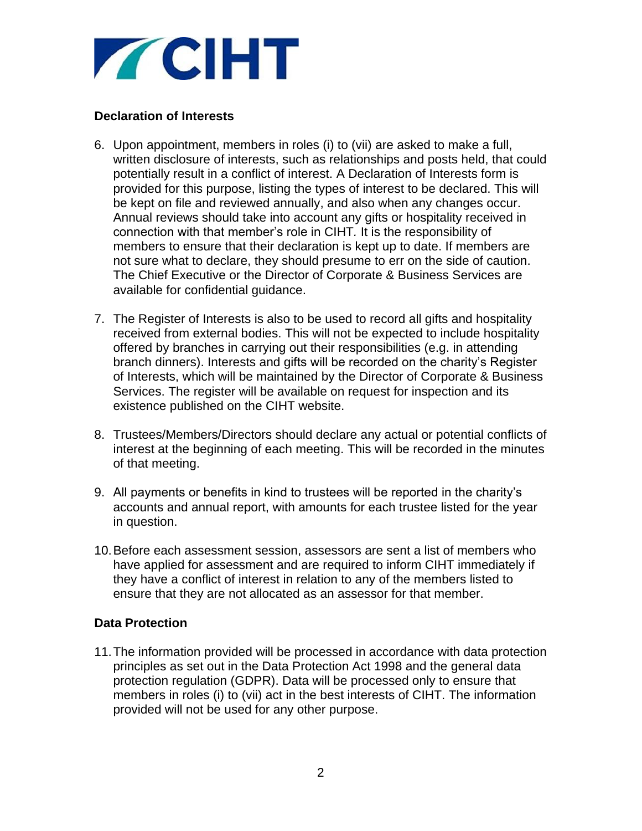

### **Declaration of Interests**

- 6. Upon appointment, members in roles (i) to (vii) are asked to make a full, written disclosure of interests, such as relationships and posts held, that could potentially result in a conflict of interest. A Declaration of Interests form is provided for this purpose, listing the types of interest to be declared. This will be kept on file and reviewed annually, and also when any changes occur. Annual reviews should take into account any gifts or hospitality received in connection with that member's role in CIHT*.* It is the responsibility of members to ensure that their declaration is kept up to date. If members are not sure what to declare, they should presume to err on the side of caution. The Chief Executive or the Director of Corporate & Business Services are available for confidential guidance.
- 7. The Register of Interests is also to be used to record all gifts and hospitality received from external bodies. This will not be expected to include hospitality offered by branches in carrying out their responsibilities (e.g. in attending branch dinners). Interests and gifts will be recorded on the charity's Register of Interests, which will be maintained by the Director of Corporate & Business Services. The register will be available on request for inspection and its existence published on the CIHT website.
- 8. Trustees/Members/Directors should declare any actual or potential conflicts of interest at the beginning of each meeting. This will be recorded in the minutes of that meeting.
- 9. All payments or benefits in kind to trustees will be reported in the charity's accounts and annual report, with amounts for each trustee listed for the year in question.
- 10.Before each assessment session, assessors are sent a list of members who have applied for assessment and are required to inform CIHT immediately if they have a conflict of interest in relation to any of the members listed to ensure that they are not allocated as an assessor for that member.

#### **Data Protection**

11.The information provided will be processed in accordance with data protection principles as set out in the Data Protection Act 1998 and the general data protection regulation (GDPR). Data will be processed only to ensure that members in roles (i) to (vii) act in the best interests of CIHT. The information provided will not be used for any other purpose.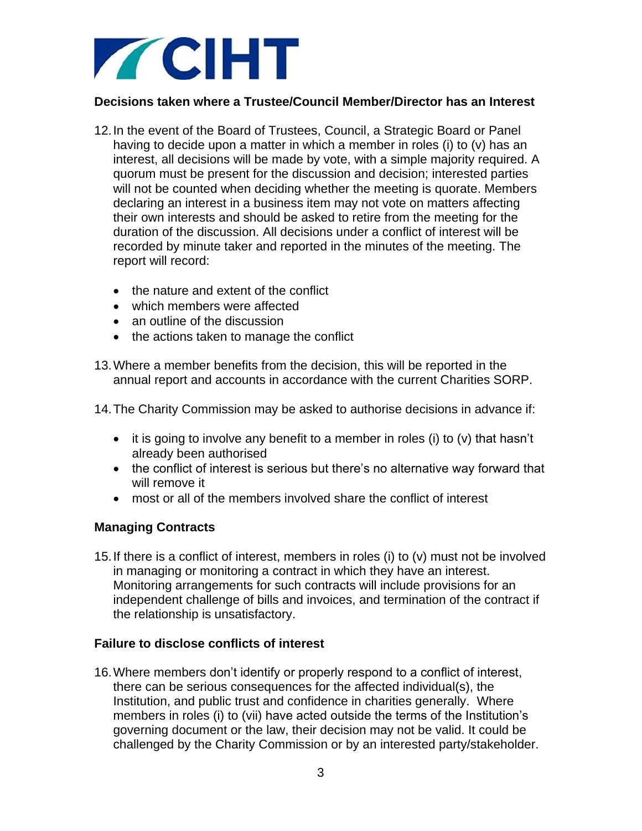

### **Decisions taken where a Trustee/Council Member/Director has an Interest**

- 12.In the event of the Board of Trustees, Council, a Strategic Board or Panel having to decide upon a matter in which a member in roles (i) to (v) has an interest, all decisions will be made by vote, with a simple majority required. A quorum must be present for the discussion and decision; interested parties will not be counted when deciding whether the meeting is quorate. Members declaring an interest in a business item may not vote on matters affecting their own interests and should be asked to retire from the meeting for the duration of the discussion. All decisions under a conflict of interest will be recorded by minute taker and reported in the minutes of the meeting. The report will record:
	- the nature and extent of the conflict
	- which members were affected
	- an outline of the discussion
	- the actions taken to manage the conflict
- 13.Where a member benefits from the decision, this will be reported in the annual report and accounts in accordance with the current Charities SORP.
- 14.The Charity Commission may be asked to authorise decisions in advance if:
	- $\bullet$  it is going to involve any benefit to a member in roles (i) to (v) that hasn't already been authorised
	- the conflict of interest is serious but there's no alternative way forward that will remove it
	- most or all of the members involved share the conflict of interest

# **Managing Contracts**

15.If there is a conflict of interest, members in roles (i) to (v) must not be involved in managing or monitoring a contract in which they have an interest. Monitoring arrangements for such contracts will include provisions for an independent challenge of bills and invoices, and termination of the contract if the relationship is unsatisfactory.

#### **Failure to disclose conflicts of interest**

16.Where members don't identify or properly respond to a conflict of interest, there can be serious consequences for the affected individual(s), the Institution, and public trust and confidence in charities generally. Where members in roles (i) to (vii) have acted outside the terms of the Institution's governing document or the law, their decision may not be valid. It could be challenged by the Charity Commission or by an interested party/stakeholder.